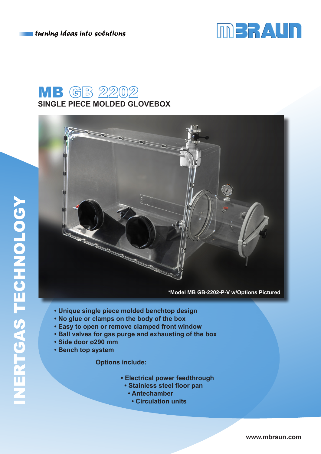$\blacksquare$  turning ideas into solutions



## **MB** GB 2202 **SINGLE PIECE MOLDED GLOVEBOX**



**\*Model MB GB-2202-P-V w/Options Pictured**

- **Unique single piece molded benchtop design**
- **No glue or clamps on the body of the box**
- **Easy to open or remove clamped front window**
- **Ball valves for gas purge and exhausting of the box**
- **Side door ø290 mm**
- **Bench top system**

 **Options include:**

- **Electrical power feedthrough**
- **Stainless steel floor pan**
	- **Antechamber**
		- **Circulation units**

**www.mbraun.com**